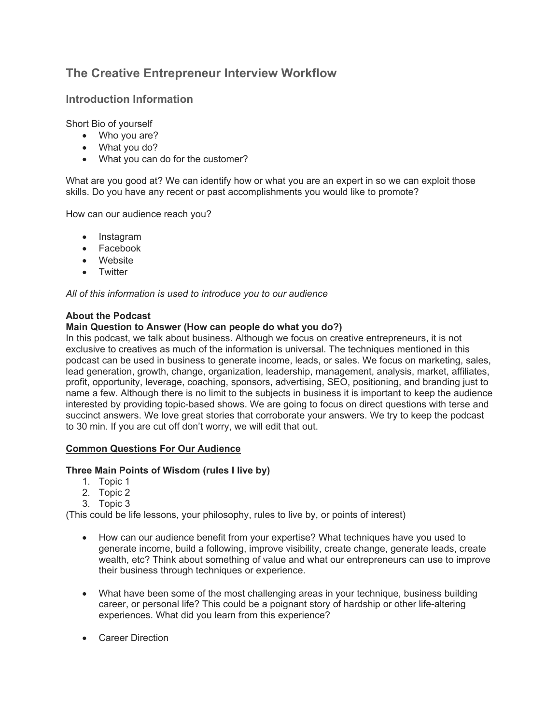# **The Creative Entrepreneur Interview Workflow**

## **Introduction Information**

Short Bio of yourself

- Who you are?
- What you do?
- What you can do for the customer?

What are you good at? We can identify how or what you are an expert in so we can exploit those skills. Do you have any recent or past accomplishments you would like to promote?

How can our audience reach you?

- Instagram
- Facebook
- Website
- Twitter

*All of this information is used to introduce you to our audience*

### **About the Podcast**

#### **Main Question to Answer (How can people do what you do?)**

In this podcast, we talk about business. Although we focus on creative entrepreneurs, it is not exclusive to creatives as much of the information is universal. The techniques mentioned in this podcast can be used in business to generate income, leads, or sales. We focus on marketing, sales, lead generation, growth, change, organization, leadership, management, analysis, market, affiliates, profit, opportunity, leverage, coaching, sponsors, advertising, SEO, positioning, and branding just to name a few. Although there is no limit to the subjects in business it is important to keep the audience interested by providing topic-based shows. We are going to focus on direct questions with terse and succinct answers. We love great stories that corroborate your answers. We try to keep the podcast to 30 min. If you are cut off don't worry, we will edit that out.

#### **Common Questions For Our Audience**

#### **Three Main Points of Wisdom (rules I live by)**

- 1. Topic 1
- 2. Topic 2
- 3. Topic 3

(This could be life lessons, your philosophy, rules to live by, or points of interest)

- How can our audience benefit from your expertise? What techniques have you used to generate income, build a following, improve visibility, create change, generate leads, create wealth, etc? Think about something of value and what our entrepreneurs can use to improve their business through techniques or experience.
- What have been some of the most challenging areas in your technique, business building career, or personal life? This could be a poignant story of hardship or other life-altering experiences. What did you learn from this experience?
- **Career Direction**